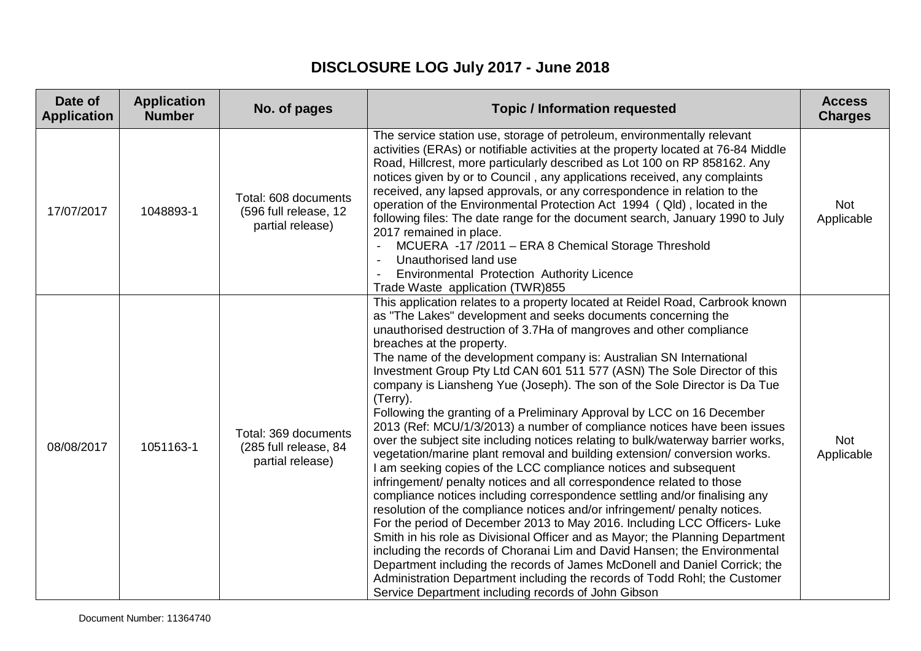## **DISCLOSURE LOG July 2017 - June 2018**

| Date of<br><b>Application</b> | <b>Application</b><br><b>Number</b> | No. of pages                                                      | <b>Topic / Information requested</b>                                                                                                                                                                                                                                                                                                                                                                                                                                                                                                                                                                                                                                                                                                                                                                                                                                                                                                                                                                                                                                                                                                                                                                                                                                                                                                                                                                                                                                                                                                                                                         | <b>Access</b><br><b>Charges</b> |
|-------------------------------|-------------------------------------|-------------------------------------------------------------------|----------------------------------------------------------------------------------------------------------------------------------------------------------------------------------------------------------------------------------------------------------------------------------------------------------------------------------------------------------------------------------------------------------------------------------------------------------------------------------------------------------------------------------------------------------------------------------------------------------------------------------------------------------------------------------------------------------------------------------------------------------------------------------------------------------------------------------------------------------------------------------------------------------------------------------------------------------------------------------------------------------------------------------------------------------------------------------------------------------------------------------------------------------------------------------------------------------------------------------------------------------------------------------------------------------------------------------------------------------------------------------------------------------------------------------------------------------------------------------------------------------------------------------------------------------------------------------------------|---------------------------------|
| 17/07/2017                    | 1048893-1                           | Total: 608 documents<br>(596 full release, 12<br>partial release) | The service station use, storage of petroleum, environmentally relevant<br>activities (ERAs) or notifiable activities at the property located at 76-84 Middle<br>Road, Hillcrest, more particularly described as Lot 100 on RP 858162. Any<br>notices given by or to Council, any applications received, any complaints<br>received, any lapsed approvals, or any correspondence in relation to the<br>operation of the Environmental Protection Act 1994 (Qld), located in the<br>following files: The date range for the document search, January 1990 to July<br>2017 remained in place.<br>MCUERA -17 /2011 - ERA 8 Chemical Storage Threshold<br>Unauthorised land use<br>Environmental Protection Authority Licence<br>Trade Waste application (TWR)855                                                                                                                                                                                                                                                                                                                                                                                                                                                                                                                                                                                                                                                                                                                                                                                                                                | <b>Not</b><br>Applicable        |
| 08/08/2017                    | 1051163-1                           | Total: 369 documents<br>(285 full release, 84<br>partial release) | This application relates to a property located at Reidel Road, Carbrook known<br>as "The Lakes" development and seeks documents concerning the<br>unauthorised destruction of 3.7Ha of mangroves and other compliance<br>breaches at the property.<br>The name of the development company is: Australian SN International<br>Investment Group Pty Ltd CAN 601 511 577 (ASN) The Sole Director of this<br>company is Liansheng Yue (Joseph). The son of the Sole Director is Da Tue<br>(Terry).<br>Following the granting of a Preliminary Approval by LCC on 16 December<br>2013 (Ref: MCU/1/3/2013) a number of compliance notices have been issues<br>over the subject site including notices relating to bulk/waterway barrier works,<br>vegetation/marine plant removal and building extension/ conversion works.<br>I am seeking copies of the LCC compliance notices and subsequent<br>infringement/ penalty notices and all correspondence related to those<br>compliance notices including correspondence settling and/or finalising any<br>resolution of the compliance notices and/or infringement/ penalty notices.<br>For the period of December 2013 to May 2016. Including LCC Officers- Luke<br>Smith in his role as Divisional Officer and as Mayor; the Planning Department<br>including the records of Choranai Lim and David Hansen; the Environmental<br>Department including the records of James McDonell and Daniel Corrick; the<br>Administration Department including the records of Todd Rohl; the Customer<br>Service Department including records of John Gibson | <b>Not</b><br>Applicable        |